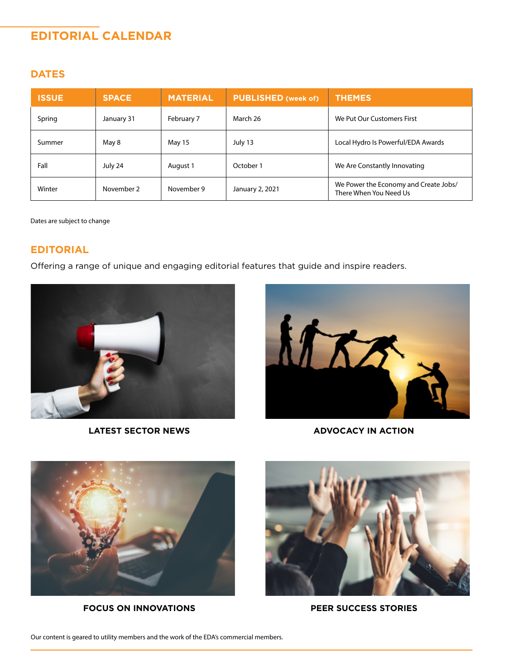# **EDITORIAL CALENDAR**

# **DATES**

| <b>ISSUE</b> | <b>SPACE</b> | <b>MATERIAL</b> | <b>PUBLISHED (week of)</b> | <b>THEMES</b>                                                   |
|--------------|--------------|-----------------|----------------------------|-----------------------------------------------------------------|
| Spring       | January 31   | February 7      | March 26                   | We Put Our Customers First                                      |
| Summer       | May 8        | May 15          | July 13                    | Local Hydro Is Powerful/EDA Awards                              |
| Fall         | July 24      | August 1        | October 1                  | We Are Constantly Innovating                                    |
| Winter       | November 2   | November 9      | January 2, 2021            | We Power the Economy and Create Jobs/<br>There When You Need Us |

Dates are subject to change

### **EDITORIAL**

Offering a range of unique and engaging editorial features that guide and inspire readers.



**LATEST SECTOR NEWS ADVOCACY IN ACTION**





**FOCUS ON INNOVATIONS PEER SUCCESS STORIES**



Our content is geared to utility members and the work of the EDA's commercial members.